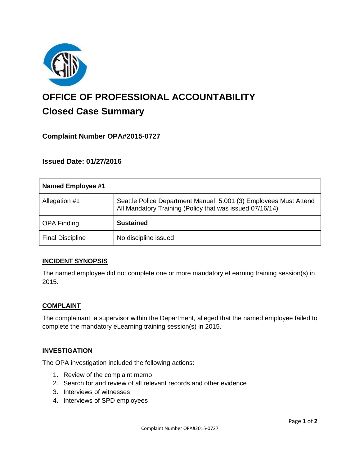

# **OFFICE OF PROFESSIONAL ACCOUNTABILITY Closed Case Summary**

# **Complaint Number OPA#2015-0727**

# **Issued Date: 01/27/2016**

| <b>Named Employee #1</b> |                                                                                                                              |
|--------------------------|------------------------------------------------------------------------------------------------------------------------------|
| Allegation #1            | Seattle Police Department Manual 5.001 (3) Employees Must Attend<br>All Mandatory Training (Policy that was issued 07/16/14) |
| <b>OPA Finding</b>       | <b>Sustained</b>                                                                                                             |
| <b>Final Discipline</b>  | No discipline issued                                                                                                         |

#### **INCIDENT SYNOPSIS**

The named employee did not complete one or more mandatory eLearning training session(s) in 2015.

#### **COMPLAINT**

The complainant, a supervisor within the Department, alleged that the named employee failed to complete the mandatory eLearning training session(s) in 2015.

#### **INVESTIGATION**

The OPA investigation included the following actions:

- 1. Review of the complaint memo
- 2. Search for and review of all relevant records and other evidence
- 3. Interviews of witnesses
- 4. Interviews of SPD employees